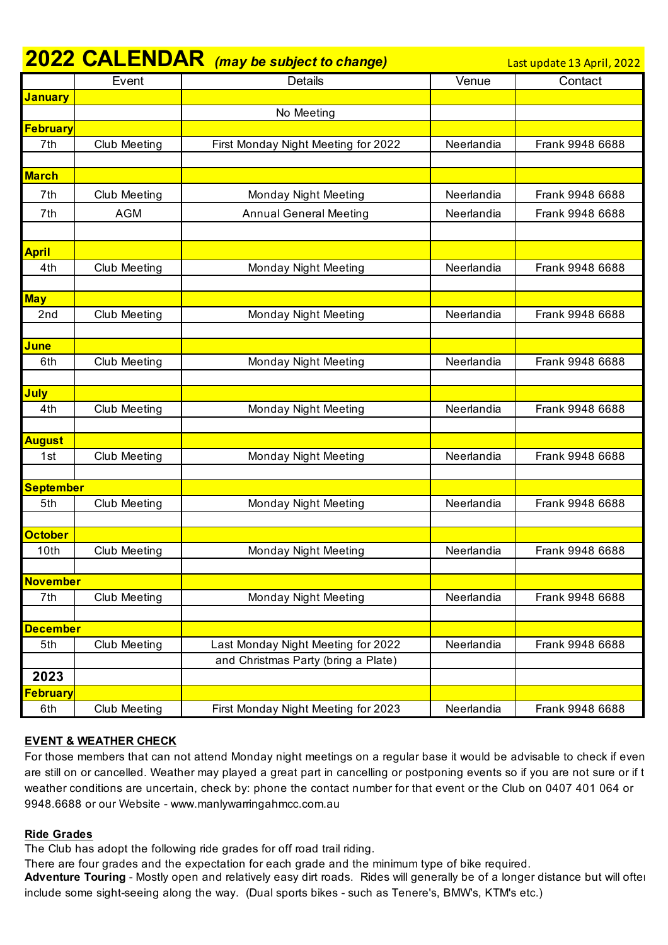|                      |                     | <b>2022 CALENDAR</b> (may be subject to change) |            | Last update 13 April, 2022 |
|----------------------|---------------------|-------------------------------------------------|------------|----------------------------|
|                      | Event               | <b>Details</b>                                  | Venue      | Contact                    |
| <mark>January</mark> |                     |                                                 |            |                            |
|                      |                     | No Meeting                                      |            |                            |
| <b>February</b>      |                     |                                                 |            |                            |
| 7th                  | <b>Club Meeting</b> | First Monday Night Meeting for 2022             | Neerlandia | Frank 9948 6688            |
|                      |                     |                                                 |            |                            |
| <b>March</b>         |                     |                                                 |            |                            |
| 7th                  | <b>Club Meeting</b> | Monday Night Meeting                            | Neerlandia | Frank 9948 6688            |
| 7th                  | <b>AGM</b>          | <b>Annual General Meeting</b>                   | Neerlandia | Frank 9948 6688            |
|                      |                     |                                                 |            |                            |
| <b>April</b>         |                     |                                                 |            |                            |
| 4th                  | <b>Club Meeting</b> | <b>Monday Night Meeting</b>                     | Neerlandia | Frank 9948 6688            |
|                      |                     |                                                 |            |                            |
| <b>May</b>           |                     |                                                 |            |                            |
| 2nd                  | <b>Club Meeting</b> | <b>Monday Night Meeting</b>                     | Neerlandia | Frank 9948 6688            |
|                      |                     |                                                 |            |                            |
| <b>June</b>          |                     |                                                 |            |                            |
| 6th                  | <b>Club Meeting</b> | Monday Night Meeting                            | Neerlandia | Frank 9948 6688            |
|                      |                     |                                                 |            |                            |
| July                 |                     |                                                 |            |                            |
| 4th                  | <b>Club Meeting</b> | <b>Monday Night Meeting</b>                     | Neerlandia | Frank 9948 6688            |
| <b>August</b>        |                     |                                                 |            |                            |
| 1st                  | <b>Club Meeting</b> | <b>Monday Night Meeting</b>                     | Neerlandia | Frank 9948 6688            |
|                      |                     |                                                 |            |                            |
| <b>September</b>     |                     |                                                 |            |                            |
| 5th                  | <b>Club Meeting</b> | <b>Monday Night Meeting</b>                     | Neerlandia | Frank 9948 6688            |
|                      |                     |                                                 |            |                            |
| <b>October</b>       |                     |                                                 |            |                            |
| 10th                 | <b>Club Meeting</b> | Monday Night Meeting                            | Neerlandia | Frank 9948 6688            |
|                      |                     |                                                 |            |                            |
| <b>November</b>      |                     |                                                 |            |                            |
| 7th                  | <b>Club Meeting</b> | <b>Monday Night Meeting</b>                     | Neerlandia | Frank 9948 6688            |
|                      |                     |                                                 |            |                            |
| <b>December</b>      |                     |                                                 |            |                            |
| 5th                  | <b>Club Meeting</b> | Last Monday Night Meeting for 2022              | Neerlandia | Frank 9948 6688            |
| 2023                 |                     | and Christmas Party (bring a Plate)             |            |                            |
| <b>February</b>      |                     |                                                 |            |                            |
| 6th                  | <b>Club Meeting</b> | First Monday Night Meeting for 2023             | Neerlandia | Frank 9948 6688            |
|                      |                     |                                                 |            |                            |

## **EVENT & WEATHER CHECK**

For those members that can not attend Monday night meetings on a regular base it would be advisable to check if even are still on or cancelled. Weather may played a great part in cancelling or postponing events so if you are not sure or if t weather conditions are uncertain, check by: phone the contact number for that event or the Club on 0407 401 064 or 9948.6688 or our Website - www.manlywarringahmcc.com.au

## **Ride Grades**

The Club has adopt the following ride grades for off road trail riding.

There are four grades and the expectation for each grade and the minimum type of bike required.

Adventure Touring - Mostly open and relatively easy dirt roads. Rides will generally be of a longer distance but will ofter include some sight-seeing along the way. (Dual sports bikes - such as Tenere's, BMW's, KTM's etc.)